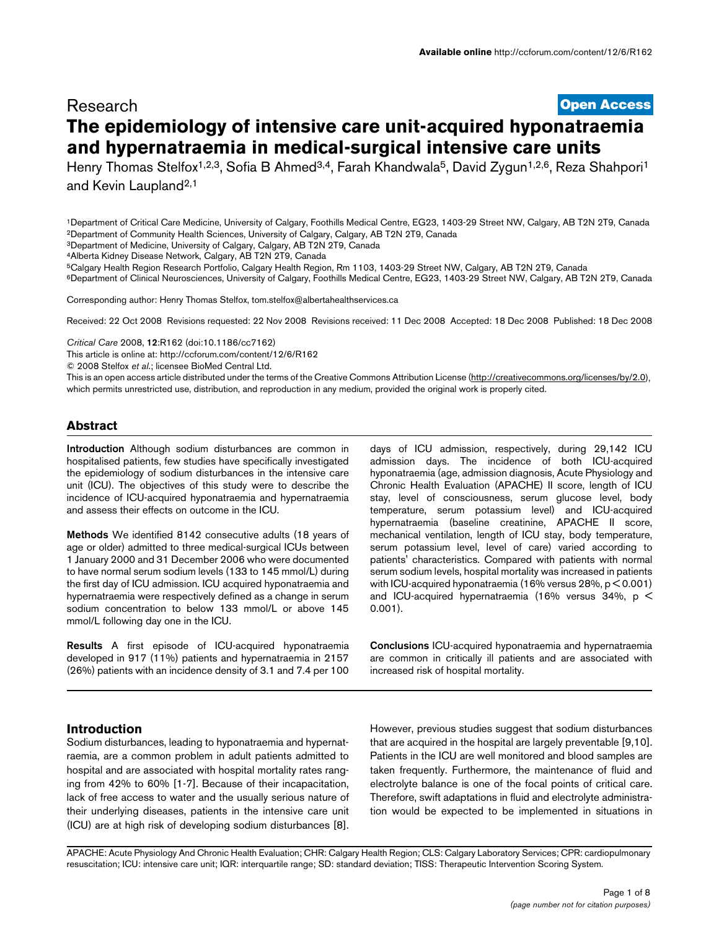# **[Open Access](http://www.biomedcentral.com/info/about/charter/)** Research **The epidemiology of intensive care unit-acquired hyponatraemia and hypernatraemia in medical-surgical intensive care units**

Henry Thomas Stelfox<sup>1,2,3</sup>, Sofia B Ahmed<sup>3,4</sup>, Farah Khandwala<sup>5</sup>, David Zygun<sup>1,2,6</sup>, Reza Shahpori<sup>1</sup> and Kevin Laupland2,1

1Department of Critical Care Medicine, University of Calgary, Foothills Medical Centre, EG23, 1403-29 Street NW, Calgary, AB T2N 2T9, Canada 2Department of Community Health Sciences, University of Calgary, Calgary, AB T2N 2T9, Canada

3Department of Medicine, University of Calgary, Calgary, AB T2N 2T9, Canada

4Alberta Kidney Disease Network, Calgary, AB T2N 2T9, Canada

5Calgary Health Region Research Portfolio, Calgary Health Region, Rm 1103, 1403-29 Street NW, Calgary, AB T2N 2T9, Canada

6Department of Clinical Neurosciences, University of Calgary, Foothills Medical Centre, EG23, 1403-29 Street NW, Calgary, AB T2N 2T9, Canada

Corresponding author: Henry Thomas Stelfox, tom.stelfox@albertahealthservices.c[a](http://www.ncbi.nlm.nih.gov/entrez/query.fcgi?cmd=Retrieve&db=PubMed&dopt=Abstract&list_uids=19094227)

Received: 22 Oct 2008 Revisions requested: 22 Nov 2008 Revisions received: 11 Dec 2008 Accepted: 18 Dec 2008 Published: 18 Dec 2008

*Critical Care* 2008, **12**:R162 (doi:10.1186/cc7162)

[This article is online at: http://ccforum.com/content/12/6/R162](http://ccforum.com/content/12/6/R162)

© 2008 Stelfox *et al*.; licensee BioMed Central Ltd.

This is an open access article distributed under the terms of the Creative Commons Attribution License [\(http://creativecommons.org/licenses/by/2.0\)](http://creativecommons.org/licenses/by/2.0), which permits unrestricted use, distribution, and reproduction in any medium, provided the original work is properly cited.

## **Abstract**

**Introduction** Although sodium disturbances are common in hospitalised patients, few studies have specifically investigated the epidemiology of sodium disturbances in the intensive care unit (ICU). The objectives of this study were to describe the incidence of ICU-acquired hyponatraemia and hypernatraemia and assess their effects on outcome in the ICU.

**Methods** We identified 8142 consecutive adults (18 years of age or older) admitted to three medical-surgical ICUs between 1 January 2000 and 31 December 2006 who were documented to have normal serum sodium levels (133 to 145 mmol/L) during the first day of ICU admission. ICU acquired hyponatraemia and hypernatraemia were respectively defined as a change in serum sodium concentration to below 133 mmol/L or above 145 mmol/L following day one in the ICU.

**Results** A first episode of ICU-acquired hyponatraemia developed in 917 (11%) patients and hypernatraemia in 2157 (26%) patients with an incidence density of 3.1 and 7.4 per 100

days of ICU admission, respectively, during 29,142 ICU admission days. The incidence of both ICU-acquired hyponatraemia (age, admission diagnosis, Acute Physiology and Chronic Health Evaluation (APACHE) II score, length of ICU stay, level of consciousness, serum glucose level, body temperature, serum potassium level) and ICU-acquired hypernatraemia (baseline creatinine, APACHE II score, mechanical ventilation, length of ICU stay, body temperature, serum potassium level, level of care) varied according to patients' characteristics. Compared with patients with normal serum sodium levels, hospital mortality was increased in patients with ICU-acquired hyponatraemia (16% versus 28%, p < 0.001) and ICU-acquired hypernatraemia (16% versus 34%, p < 0.001).

**Conclusions** ICU-acquired hyponatraemia and hypernatraemia are common in critically ill patients and are associated with increased risk of hospital mortality.

## **Introduction**

Sodium disturbances, leading to hyponatraemia and hypernatraemia, are a common problem in adult patients admitted to hospital and are associated with hospital mortality rates ranging from 42% to 60% [1-7]. Because of their incapacitation, lack of free access to water and the usually serious nature of their underlying diseases, patients in the intensive care unit (ICU) are at high risk of developing sodium disturbances [8].

However, previous studies suggest that sodium disturbances that are acquired in the hospital are largely preventable [9,10]. Patients in the ICU are well monitored and blood samples are taken frequently. Furthermore, the maintenance of fluid and electrolyte balance is one of the focal points of critical care. Therefore, swift adaptations in fluid and electrolyte administration would be expected to be implemented in situations in

APACHE: Acute Physiology And Chronic Health Evaluation; CHR: Calgary Health Region; CLS: Calgary Laboratory Services; CPR: cardiopulmonary resuscitation; ICU: intensive care unit; IQR: interquartile range; SD: standard deviation; TISS: Therapeutic Intervention Scoring System.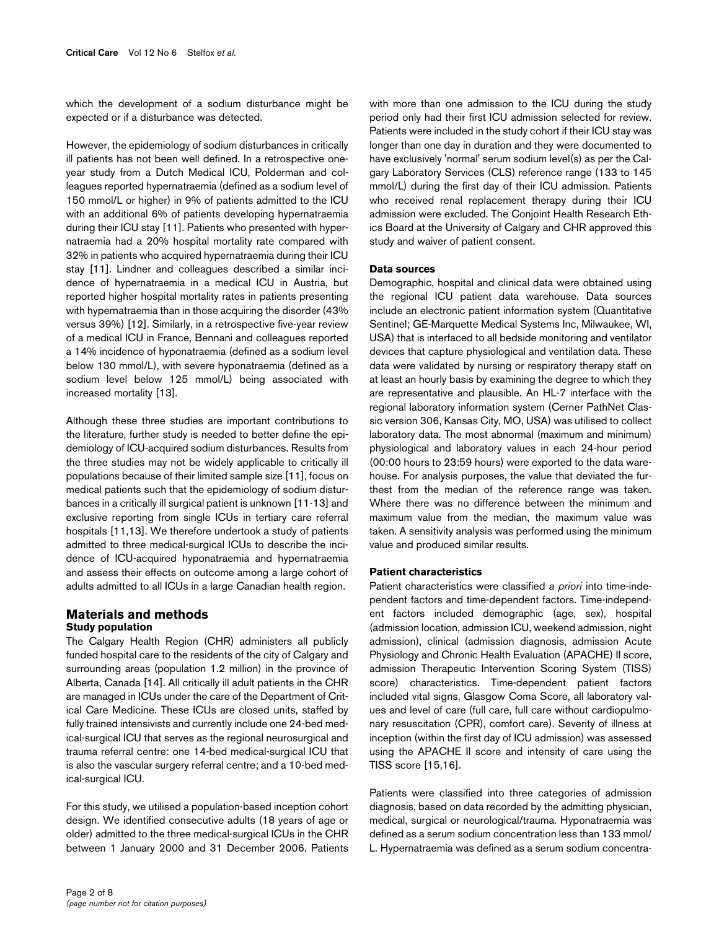which the development of a sodium disturbance might be expected or if a disturbance was detected.

However, the epidemiology of sodium disturbances in critically ill patients has not been well defined. In a retrospective oneyear study from a Dutch Medical ICU, Polderman and colleagues reported hypernatraemia (defined as a sodium level of 150 mmol/L or higher) in 9% of patients admitted to the ICU with an additional 6% of patients developing hypernatraemia during their ICU stay [11]. Patients who presented with hypernatraemia had a 20% hospital mortality rate compared with 32% in patients who acquired hypernatraemia during their ICU stay [11]. Lindner and colleagues described a similar incidence of hypernatraemia in a medical ICU in Austria, but reported higher hospital mortality rates in patients presenting with hypernatraemia than in those acquiring the disorder (43% versus 39%) [12]. Similarly, in a retrospective five-year review of a medical ICU in France, Bennani and colleagues reported a 14% incidence of hyponatraemia (defined as a sodium level below 130 mmol/L), with severe hyponatraemia (defined as a sodium level below 125 mmol/L) being associated with increased mortality [13].

Although these three studies are important contributions to the literature, further study is needed to better define the epidemiology of ICU-acquired sodium disturbances. Results from the three studies may not be widely applicable to critically ill populations because of their limited sample size [11], focus on medical patients such that the epidemiology of sodium disturbances in a critically ill surgical patient is unknown [11-13] and exclusive reporting from single ICUs in tertiary care referral hospitals [11,13]. We therefore undertook a study of patients admitted to three medical-surgical ICUs to describe the incidence of ICU-acquired hyponatraemia and hypernatraemia and assess their effects on outcome among a large cohort of adults admitted to all ICUs in a large Canadian health region.

## **Materials and methods Study population**

Page 2 of 8

*(page number not for citation purposes)*

The Calgary Health Region (CHR) administers all publicly funded hospital care to the residents of the city of Calgary and surrounding areas (population 1.2 million) in the province of Alberta, Canada [14]. All critically ill adult patients in the CHR are managed in ICUs under the care of the Department of Critical Care Medicine. These ICUs are closed units, staffed by fully trained intensivists and currently include one 24-bed medical-surgical ICU that serves as the regional neurosurgical and trauma referral centre: one 14-bed medical-surgical ICU that is also the vascular surgery referral centre; and a 10-bed medical-surgical ICU.

For this study, we utilised a population-based inception cohort design. We identified consecutive adults (18 years of age or older) admitted to the three medical-surgical ICUs in the CHR between 1 January 2000 and 31 December 2006. Patients with more than one admission to the ICU during the study period only had their first ICU admission selected for review. Patients were included in the study cohort if their ICU stay was longer than one day in duration and they were documented to have exclusively 'normal' serum sodium level(s) as per the Calgary Laboratory Services (CLS) reference range (133 to 145 mmol/L) during the first day of their ICU admission. Patients who received renal replacement therapy during their ICU admission were excluded. The Conjoint Health Research Ethics Board at the University of Calgary and CHR approved this study and waiver of patient consent.

## **Data sources**

Demographic, hospital and clinical data were obtained using the regional ICU patient data warehouse. Data sources include an electronic patient information system (Quantitative Sentinel; GE-Marquette Medical Systems Inc, Milwaukee, WI, USA) that is interfaced to all bedside monitoring and ventilator devices that capture physiological and ventilation data. These data were validated by nursing or respiratory therapy staff on at least an hourly basis by examining the degree to which they are representative and plausible. An HL-7 interface with the regional laboratory information system (Cerner PathNet Classic version 306, Kansas City, MO, USA) was utilised to collect laboratory data. The most abnormal (maximum and minimum) physiological and laboratory values in each 24-hour period (00:00 hours to 23:59 hours) were exported to the data warehouse. For analysis purposes, the value that deviated the furthest from the median of the reference range was taken. Where there was no difference between the minimum and maximum value from the median, the maximum value was taken. A sensitivity analysis was performed using the minimum value and produced similar results.

#### **Patient characteristics**

Patient characteristics were classified *a priori* into time-independent factors and time-dependent factors. Time-independent factors included demographic (age, sex), hospital (admission location, admission ICU, weekend admission, night admission), clinical (admission diagnosis, admission Acute Physiology and Chronic Health Evaluation (APACHE) II score, admission Therapeutic Intervention Scoring System (TISS) score) characteristics. Time-dependent patient factors included vital signs, Glasgow Coma Score, all laboratory values and level of care (full care, full care without cardiopulmonary resuscitation (CPR), comfort care). Severity of illness at inception (within the first day of ICU admission) was assessed using the APACHE II score and intensity of care using the TISS score [15,16].

Patients were classified into three categories of admission diagnosis, based on data recorded by the admitting physician, medical, surgical or neurological/trauma. Hyponatraemia was defined as a serum sodium concentration less than 133 mmol/ L. Hypernatraemia was defined as a serum sodium concentra-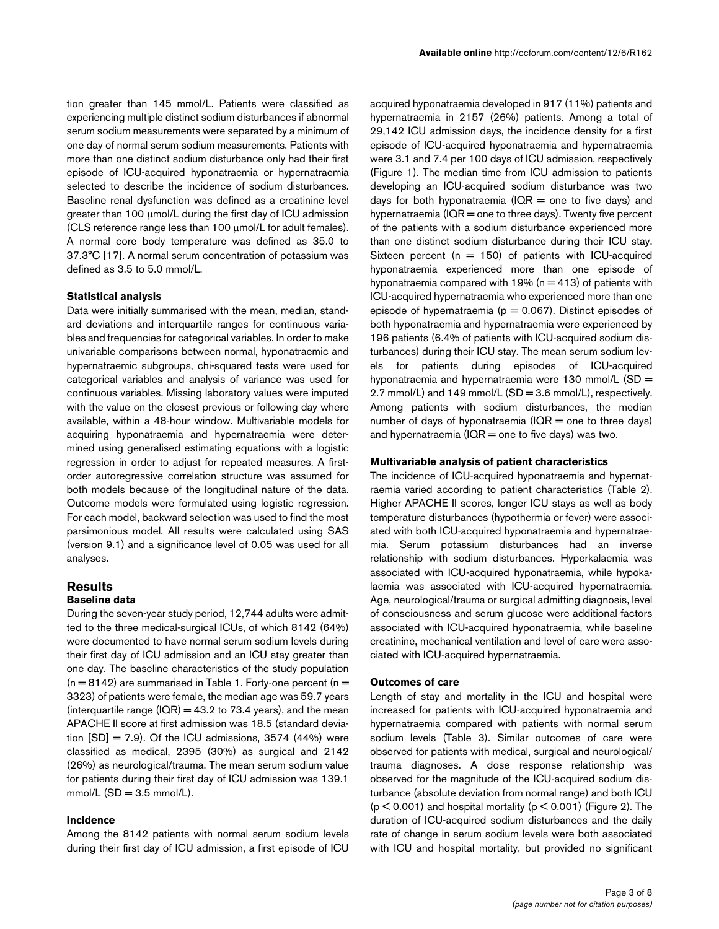tion greater than 145 mmol/L. Patients were classified as experiencing multiple distinct sodium disturbances if abnormal serum sodium measurements were separated by a minimum of one day of normal serum sodium measurements. Patients with more than one distinct sodium disturbance only had their first episode of ICU-acquired hyponatraemia or hypernatraemia selected to describe the incidence of sodium disturbances. Baseline renal dysfunction was defined as a creatinine level greater than 100 μmol/L during the first day of ICU admission (CLS reference range less than 100 μmol/L for adult females). A normal core body temperature was defined as 35.0 to 37.3°C [17]. A normal serum concentration of potassium was defined as 3.5 to 5.0 mmol/L.

#### **Statistical analysis**

Data were initially summarised with the mean, median, standard deviations and interquartile ranges for continuous variables and frequencies for categorical variables. In order to make univariable comparisons between normal, hyponatraemic and hypernatraemic subgroups, chi-squared tests were used for categorical variables and analysis of variance was used for continuous variables. Missing laboratory values were imputed with the value on the closest previous or following day where available, within a 48-hour window. Multivariable models for acquiring hyponatraemia and hypernatraemia were determined using generalised estimating equations with a logistic regression in order to adjust for repeated measures. A firstorder autoregressive correlation structure was assumed for both models because of the longitudinal nature of the data. Outcome models were formulated using logistic regression. For each model, backward selection was used to find the most parsimonious model. All results were calculated using SAS (version 9.1) and a significance level of 0.05 was used for all analyses.

#### **Results Baseline data**

During the seven-year study period, 12,744 adults were admitted to the three medical-surgical ICUs, of which 8142 (64%) were documented to have normal serum sodium levels during their first day of ICU admission and an ICU stay greater than one day. The baseline characteristics of the study population  $(n = 8142)$  are summarised in Table 1. Forty-one percent  $(n = 1142)$ 3323) of patients were female, the median age was 59.7 years (interquartile range (IQR) = 43.2 to 73.4 years), and the mean APACHE II score at first admission was 18.5 (standard deviation  $[SD] = 7.9$ ). Of the ICU admissions, 3574 (44%) were classified as medical, 2395 (30%) as surgical and 2142 (26%) as neurological/trauma. The mean serum sodium value for patients during their first day of ICU admission was 139.1  $mmol/L$  (SD = 3.5 mmol/L).

#### **Incidence**

Among the 8142 patients with normal serum sodium levels during their first day of ICU admission, a first episode of ICU

acquired hyponatraemia developed in 917 (11%) patients and hypernatraemia in 2157 (26%) patients. Among a total of 29,142 ICU admission days, the incidence density for a first episode of ICU-acquired hyponatraemia and hypernatraemia were 3.1 and 7.4 per 100 days of ICU admission, respectively (Figure 1). The median time from ICU admission to patients developing an ICU-acquired sodium disturbance was two days for both hyponatraemia (IQR = one to five days) and hypernatraemia  $( IQR = one to three days)$ . Twenty five percent of the patients with a sodium disturbance experienced more than one distinct sodium disturbance during their ICU stay. Sixteen percent ( $n = 150$ ) of patients with ICU-acquired hyponatraemia experienced more than one episode of hyponatraemia compared with 19% ( $n = 413$ ) of patients with ICU-acquired hypernatraemia who experienced more than one episode of hypernatraemia ( $p = 0.067$ ). Distinct episodes of both hyponatraemia and hypernatraemia were experienced by 196 patients (6.4% of patients with ICU-acquired sodium disturbances) during their ICU stay. The mean serum sodium levels for patients during episodes of ICU-acquired hyponatraemia and hypernatraemia were 130 mmol/L (SD = 2.7 mmol/L) and 149 mmol/L (SD = 3.6 mmol/L), respectively. Among patients with sodium disturbances, the median number of days of hyponatraemia ( $IQR =$  one to three days) and hypernatraemia ( $IQR =$  one to five days) was two.

#### **Multivariable analysis of patient characteristics**

The incidence of ICU-acquired hyponatraemia and hypernatraemia varied according to patient characteristics (Table 2). Higher APACHE II scores, longer ICU stays as well as body temperature disturbances (hypothermia or fever) were associated with both ICU-acquired hyponatraemia and hypernatraemia. Serum potassium disturbances had an inverse relationship with sodium disturbances. Hyperkalaemia was associated with ICU-acquired hyponatraemia, while hypokalaemia was associated with ICU-acquired hypernatraemia. Age, neurological/trauma or surgical admitting diagnosis, level of consciousness and serum glucose were additional factors associated with ICU-acquired hyponatraemia, while baseline creatinine, mechanical ventilation and level of care were associated with ICU-acquired hypernatraemia.

#### **Outcomes of care**

Length of stay and mortality in the ICU and hospital were increased for patients with ICU-acquired hyponatraemia and hypernatraemia compared with patients with normal serum sodium levels (Table 3). Similar outcomes of care were observed for patients with medical, surgical and neurological/ trauma diagnoses. A dose response relationship was observed for the magnitude of the ICU-acquired sodium disturbance (absolute deviation from normal range) and both ICU  $(p < 0.001)$  and hospital mortality  $(p < 0.001)$  (Figure 2). The duration of ICU-acquired sodium disturbances and the daily rate of change in serum sodium levels were both associated with ICU and hospital mortality, but provided no significant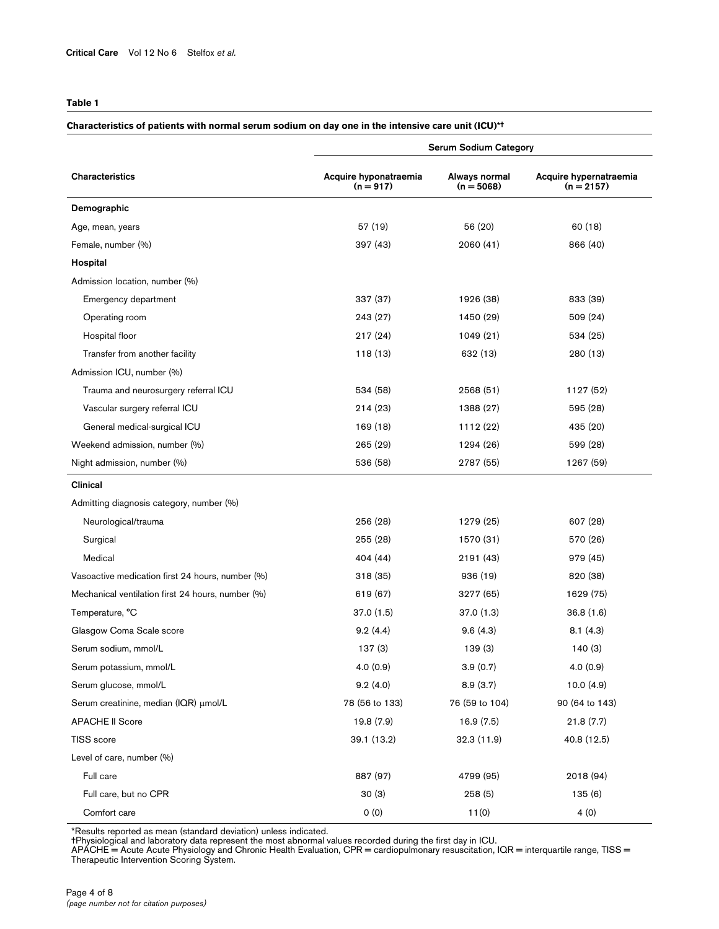## **Table 1**

#### **Characteristics of patients with normal serum sodium on day one in the intensive care unit (ICU)\*†**

|                                                   | <b>Serum Sodium Category</b>         |                               |                                        |  |
|---------------------------------------------------|--------------------------------------|-------------------------------|----------------------------------------|--|
| Characteristics                                   | Acquire hyponatraemia<br>$(n = 917)$ | Always normal<br>$(n = 5068)$ | Acquire hypernatraemia<br>$(n = 2157)$ |  |
| Demographic                                       |                                      |                               |                                        |  |
| Age, mean, years                                  | 57 (19)                              | 56 (20)                       | 60(18)                                 |  |
| Female, number (%)                                | 397 (43)                             | 2060 (41)                     | 866 (40)                               |  |
| Hospital                                          |                                      |                               |                                        |  |
| Admission location, number (%)                    |                                      |                               |                                        |  |
| Emergency department                              | 337 (37)                             | 1926 (38)                     | 833 (39)                               |  |
| Operating room                                    | 243 (27)                             | 1450 (29)                     | 509 (24)                               |  |
| Hospital floor                                    | 217(24)                              | 1049 (21)                     | 534 (25)                               |  |
| Transfer from another facility                    | 118 (13)                             | 632 (13)                      | 280 (13)                               |  |
| Admission ICU, number (%)                         |                                      |                               |                                        |  |
| Trauma and neurosurgery referral ICU              | 534 (58)                             | 2568 (51)                     | 1127 (52)                              |  |
| Vascular surgery referral ICU                     | 214(23)                              | 1388 (27)                     | 595 (28)                               |  |
| General medical-surgical ICU                      | 169 (18)                             | 1112 (22)                     | 435 (20)                               |  |
| Weekend admission, number (%)                     | 265 (29)                             | 1294 (26)                     | 599 (28)                               |  |
| Night admission, number (%)                       | 536 (58)                             | 2787 (55)                     | 1267 (59)                              |  |
| Clinical                                          |                                      |                               |                                        |  |
| Admitting diagnosis category, number (%)          |                                      |                               |                                        |  |
| Neurological/trauma                               | 256 (28)                             | 1279 (25)                     | 607 (28)                               |  |
| Surgical                                          | 255 (28)                             | 1570 (31)                     | 570 (26)                               |  |
| Medical                                           | 404 (44)                             | 2191 (43)                     | 979 (45)                               |  |
| Vasoactive medication first 24 hours, number (%)  | 318 (35)                             | 936 (19)                      | 820 (38)                               |  |
| Mechanical ventilation first 24 hours, number (%) | 619 (67)                             | 3277 (65)                     | 1629 (75)                              |  |
| Temperature, °C                                   | 37.0(1.5)                            | 37.0 (1.3)                    | 36.8(1.6)                              |  |
| Glasgow Coma Scale score                          | 9.2(4.4)                             | 9.6(4.3)                      | 8.1(4.3)                               |  |
| Serum sodium, mmol/L                              | 137(3)                               | 139(3)                        | 140(3)                                 |  |
| Serum potassium, mmol/L                           | 4.0(0.9)                             | 3.9(0.7)                      | 4.0(0.9)                               |  |
| Serum glucose, mmol/L                             | 9.2(4.0)                             | 8.9(3.7)                      | 10.0(4.9)                              |  |
| Serum creatinine, median (IQR) µmol/L             | 78 (56 to 133)                       | 76 (59 to 104)                | 90 (64 to 143)                         |  |
| <b>APACHE II Score</b>                            | 19.8 (7.9)                           | 16.9(7.5)                     | 21.8(7.7)                              |  |
| TISS score                                        | 39.1 (13.2)                          | 32.3(11.9)                    | 40.8 (12.5)                            |  |
| Level of care, number (%)                         |                                      |                               |                                        |  |
| Full care                                         | 887 (97)                             | 4799 (95)                     | 2018 (94)                              |  |
| Full care, but no CPR                             | 30(3)                                | 258(5)                        | 135(6)                                 |  |
| Comfort care                                      | 0(0)                                 | 11(0)                         | 4(0)                                   |  |

\*Results reported as mean (standard deviation) unless indicated.

†Physiological and laboratory data represent the most abnormal values recorded during the first day in ICU.<br>APACHE = Acute Acute Physiology and Chronic Health Evaluation, CPR = cardiopulmonary resuscitation, IQR = interqua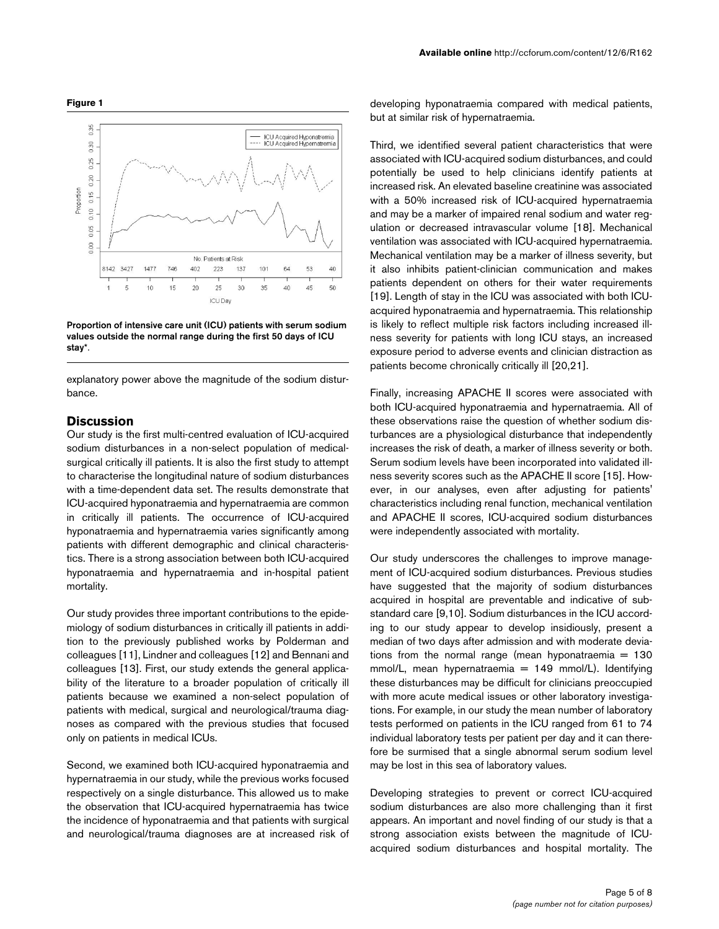

Proportion of intensive care unit (ICU) patients with serum sodium **values outside the normal range during the first 50 days of ICU stay\***.

explanatory power above the magnitude of the sodium disturbance.

### **Discussion**

Our study is the first multi-centred evaluation of ICU-acquired sodium disturbances in a non-select population of medicalsurgical critically ill patients. It is also the first study to attempt to characterise the longitudinal nature of sodium disturbances with a time-dependent data set. The results demonstrate that ICU-acquired hyponatraemia and hypernatraemia are common in critically ill patients. The occurrence of ICU-acquired hyponatraemia and hypernatraemia varies significantly among patients with different demographic and clinical characteristics. There is a strong association between both ICU-acquired hyponatraemia and hypernatraemia and in-hospital patient mortality.

Our study provides three important contributions to the epidemiology of sodium disturbances in critically ill patients in addition to the previously published works by Polderman and colleagues [11], Lindner and colleagues [12] and Bennani and colleagues [13]. First, our study extends the general applicability of the literature to a broader population of critically ill patients because we examined a non-select population of patients with medical, surgical and neurological/trauma diagnoses as compared with the previous studies that focused only on patients in medical ICUs.

Second, we examined both ICU-acquired hyponatraemia and hypernatraemia in our study, while the previous works focused respectively on a single disturbance. This allowed us to make the observation that ICU-acquired hypernatraemia has twice the incidence of hyponatraemia and that patients with surgical and neurological/trauma diagnoses are at increased risk of developing hyponatraemia compared with medical patients, but at similar risk of hypernatraemia.

Third, we identified several patient characteristics that were associated with ICU-acquired sodium disturbances, and could potentially be used to help clinicians identify patients at increased risk. An elevated baseline creatinine was associated with a 50% increased risk of ICU-acquired hypernatraemia and may be a marker of impaired renal sodium and water regulation or decreased intravascular volume [18]. Mechanical ventilation was associated with ICU-acquired hypernatraemia. Mechanical ventilation may be a marker of illness severity, but it also inhibits patient-clinician communication and makes patients dependent on others for their water requirements [19]. Length of stay in the ICU was associated with both ICUacquired hyponatraemia and hypernatraemia. This relationship is likely to reflect multiple risk factors including increased illness severity for patients with long ICU stays, an increased exposure period to adverse events and clinician distraction as patients become chronically critically ill [20,21].

Finally, increasing APACHE II scores were associated with both ICU-acquired hyponatraemia and hypernatraemia. All of these observations raise the question of whether sodium disturbances are a physiological disturbance that independently increases the risk of death, a marker of illness severity or both. Serum sodium levels have been incorporated into validated illness severity scores such as the APACHE II score [15]. However, in our analyses, even after adjusting for patients' characteristics including renal function, mechanical ventilation and APACHE II scores, ICU-acquired sodium disturbances were independently associated with mortality.

Our study underscores the challenges to improve management of ICU-acquired sodium disturbances. Previous studies have suggested that the majority of sodium disturbances acquired in hospital are preventable and indicative of substandard care [9,10]. Sodium disturbances in the ICU according to our study appear to develop insidiously, present a median of two days after admission and with moderate deviations from the normal range (mean hyponatraemia  $= 130$  $mmol/L$ , mean hypernatraemia = 149 mmol/L). Identifying these disturbances may be difficult for clinicians preoccupied with more acute medical issues or other laboratory investigations. For example, in our study the mean number of laboratory tests performed on patients in the ICU ranged from 61 to 74 individual laboratory tests per patient per day and it can therefore be surmised that a single abnormal serum sodium level may be lost in this sea of laboratory values.

Developing strategies to prevent or correct ICU-acquired sodium disturbances are also more challenging than it first appears. An important and novel finding of our study is that a strong association exists between the magnitude of ICUacquired sodium disturbances and hospital mortality. The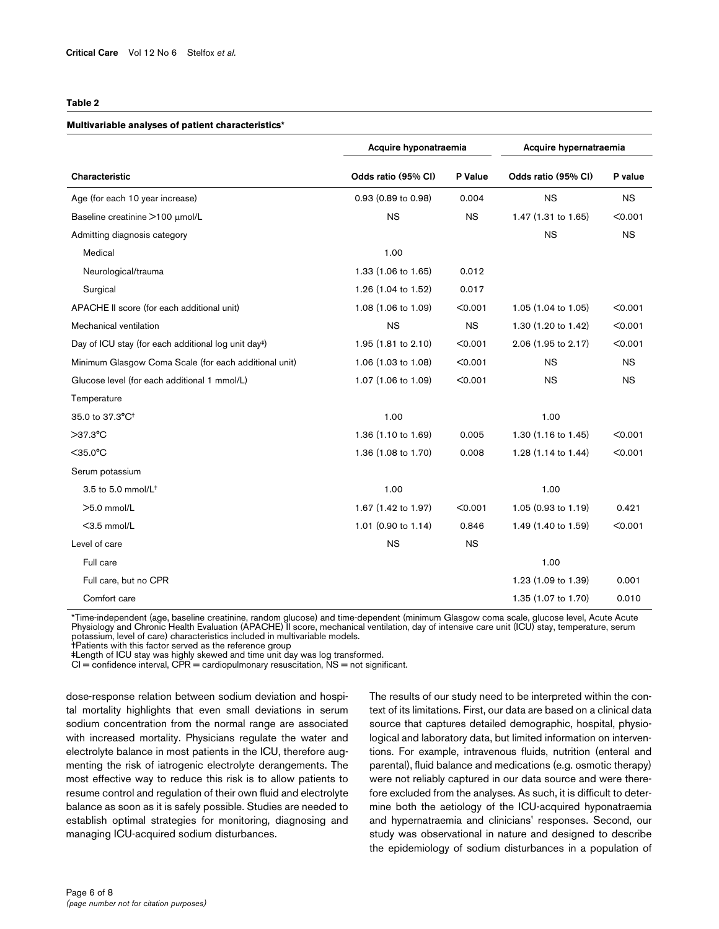#### **Table 2**

#### **Multivariable analyses of patient characteristics\***

|                                                                  | Acquire hyponatraemia |           | Acquire hypernatraemia |           |
|------------------------------------------------------------------|-----------------------|-----------|------------------------|-----------|
| Characteristic                                                   | Odds ratio (95% CI)   | P Value   | Odds ratio (95% CI)    | P value   |
| Age (for each 10 year increase)                                  | 0.93 (0.89 to 0.98)   | 0.004     | <b>NS</b>              | <b>NS</b> |
| Baseline creatinine >100 µmol/L                                  | <b>NS</b>             | <b>NS</b> | 1.47 (1.31 to 1.65)    | < 0.001   |
| Admitting diagnosis category                                     |                       |           | <b>NS</b>              | <b>NS</b> |
| Medical                                                          | 1.00                  |           |                        |           |
| Neurological/trauma                                              | 1.33 (1.06 to 1.65)   | 0.012     |                        |           |
| Surgical                                                         | 1.26 (1.04 to 1.52)   | 0.017     |                        |           |
| APACHE II score (for each additional unit)                       | 1.08 (1.06 to 1.09)   | < 0.001   | 1.05 (1.04 to 1.05)    | < 0.001   |
| Mechanical ventilation                                           | <b>NS</b>             | <b>NS</b> | 1.30 (1.20 to 1.42)    | < 0.001   |
| Day of ICU stay (for each additional log unit day <sup>#</sup> ) | 1.95 (1.81 to 2.10)   | < 0.001   | 2.06 (1.95 to 2.17)    | < 0.001   |
| Minimum Glasgow Coma Scale (for each additional unit)            | 1.06 (1.03 to 1.08)   | < 0.001   | <b>NS</b>              | <b>NS</b> |
| Glucose level (for each additional 1 mmol/L)                     | 1.07 (1.06 to 1.09)   | < 0.001   | <b>NS</b>              | <b>NS</b> |
| Temperature                                                      |                       |           |                        |           |
| 35.0 to 37.3°C <sup>+</sup>                                      | 1.00                  |           | 1.00                   |           |
| $>37.3$ °C                                                       | 1.36 (1.10 to 1.69)   | 0.005     | 1.30 (1.16 to 1.45)    | < 0.001   |
| $<$ 35.0 $^{\circ}$ C                                            | 1.36 (1.08 to 1.70)   | 0.008     | 1.28 (1.14 to 1.44)    | < 0.001   |
| Serum potassium                                                  |                       |           |                        |           |
| 3.5 to 5.0 mmol/L <sup>+</sup>                                   | 1.00                  |           | 1.00                   |           |
| $>5.0$ mmol/L                                                    | 1.67 (1.42 to 1.97)   | < 0.001   | 1.05 (0.93 to 1.19)    | 0.421     |
| $<$ 3.5 mmol/L                                                   | 1.01 (0.90 to 1.14)   | 0.846     | 1.49 (1.40 to 1.59)    | < 0.001   |
| Level of care                                                    | <b>NS</b>             | <b>NS</b> |                        |           |
| Full care                                                        |                       |           | 1.00                   |           |
| Full care, but no CPR                                            |                       |           | 1.23 (1.09 to 1.39)    | 0.001     |
| Comfort care                                                     |                       |           | 1.35 (1.07 to 1.70)    | 0.010     |

\*Time-independent (age, baseline creatinine, random glucose) and time-dependent (minimum Glasgow coma scale, glucose level, Acute Acute<br>Physiology and Chronic Health Evaluation (APACHE) Il score, mechanical ventilation, da potassium, level of care) characteristics included in multivariable models.

†Patients with this factor served as the reference group

‡Length of ICU stay was highly skewed and time unit day was log transformed.

 $CI =$  confidence interval,  $CPR =$  cardiopulmonary resuscitation,  $NS =$  not significant.

dose-response relation between sodium deviation and hospital mortality highlights that even small deviations in serum sodium concentration from the normal range are associated with increased mortality. Physicians regulate the water and electrolyte balance in most patients in the ICU, therefore augmenting the risk of iatrogenic electrolyte derangements. The most effective way to reduce this risk is to allow patients to resume control and regulation of their own fluid and electrolyte balance as soon as it is safely possible. Studies are needed to establish optimal strategies for monitoring, diagnosing and managing ICU-acquired sodium disturbances.

The results of our study need to be interpreted within the context of its limitations. First, our data are based on a clinical data source that captures detailed demographic, hospital, physiological and laboratory data, but limited information on interventions. For example, intravenous fluids, nutrition (enteral and parental), fluid balance and medications (e.g. osmotic therapy) were not reliably captured in our data source and were therefore excluded from the analyses. As such, it is difficult to determine both the aetiology of the ICU-acquired hyponatraemia and hypernatraemia and clinicians' responses. Second, our study was observational in nature and designed to describe the epidemiology of sodium disturbances in a population of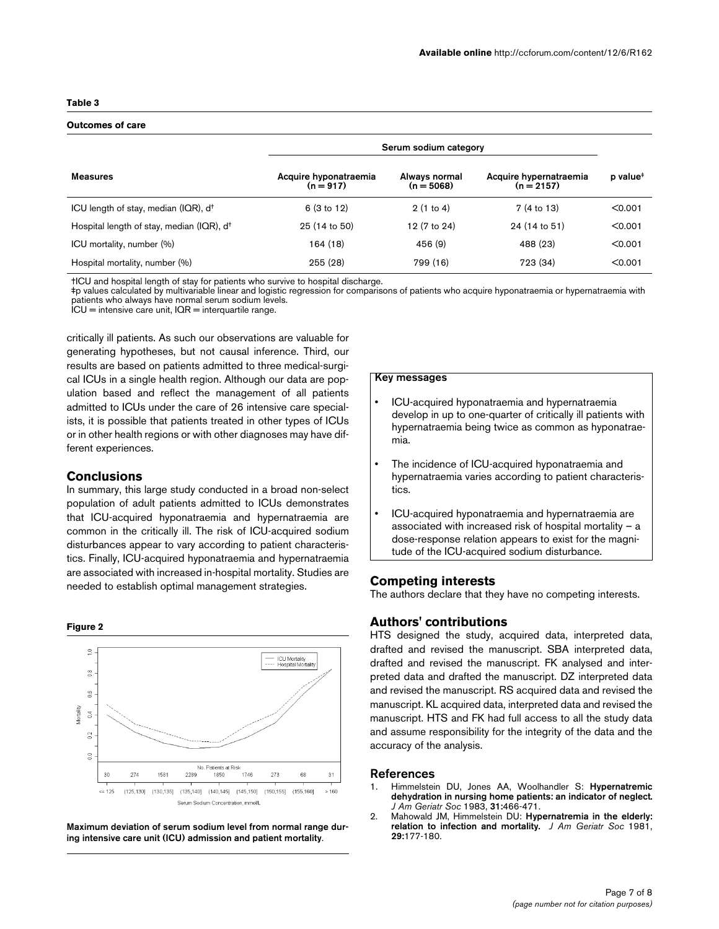### **Table 3**

### **Outcomes of care**

|                                                       | Serum sodium category                |                               |                                        |                      |
|-------------------------------------------------------|--------------------------------------|-------------------------------|----------------------------------------|----------------------|
| Measures                                              | Acquire hyponatraemia<br>$(n = 917)$ | Always normal<br>$(n = 5068)$ | Acquire hypernatraemia<br>$(n = 2157)$ | p value <sup>#</sup> |
| ICU length of stay, median (IQR), d <sup>+</sup>      | 6(3 to 12)                           | 2(1 to 4)                     | 7 (4 to 13)                            | < 0.001              |
| Hospital length of stay, median (IQR), d <sup>+</sup> | 25 (14 to 50)                        | 12 (7 to 24)                  | 24 (14 to 51)                          | < 0.001              |
| ICU mortality, number (%)                             | 164 (18)                             | 456 (9)                       | 488 (23)                               | < 0.001              |
| Hospital mortality, number (%)                        | 255(28)                              | 799 (16)                      | 723 (34)                               | < 0.001              |

†ICU and hospital length of stay for patients who survive to hospital discharge.

‡p values calculated by multivariable linear and logistic regression for comparisons of patients who acquire hyponatraemia or hypernatraemia with patients who always have normal serum sodium levels.

ICU = intensive care unit, IQR = interquartile range.

critically ill patients. As such our observations are valuable for generating hypotheses, but not causal inference. Third, our results are based on patients admitted to three medical-surgical ICUs in a single health region. Although our data are population based and reflect the management of all patients admitted to ICUs under the care of 26 intensive care specialists, it is possible that patients treated in other types of ICUs or in other health regions or with other diagnoses may have different experiences.

## **Conclusions**

In summary, this large study conducted in a broad non-select population of adult patients admitted to ICUs demonstrates that ICU-acquired hyponatraemia and hypernatraemia are common in the critically ill. The risk of ICU-acquired sodium disturbances appear to vary according to patient characteristics. Finally, ICU-acquired hyponatraemia and hypernatraemia are associated with increased in-hospital mortality. Studies are needed to establish optimal management strategies. **Competing interests**





Maximum deviation of serum sodium level from normal range dur**ing intensive care unit (ICU) admission and patient mortality**.

## **Key messages**

- ICU-acquired hyponatraemia and hypernatraemia develop in up to one-quarter of critically ill patients with hypernatraemia being twice as common as hyponatraemia.
- The incidence of ICU-acquired hyponatraemia and hypernatraemia varies according to patient characteristics.
- ICU-acquired hyponatraemia and hypernatraemia are associated with increased risk of hospital mortality – a dose-response relation appears to exist for the magnitude of the ICU-acquired sodium disturbance.

The authors declare that they have no competing interests.

## **Authors' contributions**

HTS designed the study, acquired data, interpreted data, drafted and revised the manuscript. SBA interpreted data, drafted and revised the manuscript. FK analysed and interpreted data and drafted the manuscript. DZ interpreted data and revised the manuscript. RS acquired data and revised the manuscript. KL acquired data, interpreted data and revised the manuscript. HTS and FK had full access to all the study data and assume responsibility for the integrity of the data and the accuracy of the analysis.

## **References**

- 1. Himmelstein DU, Jones AA, Woolhandler S: **[Hypernatremic](http://www.ncbi.nlm.nih.gov/entrez/query.fcgi?cmd=Retrieve&db=PubMed&dopt=Abstract&list_uids=6875149) [dehydration in nursing home patients: an indicator of neglect.](http://www.ncbi.nlm.nih.gov/entrez/query.fcgi?cmd=Retrieve&db=PubMed&dopt=Abstract&list_uids=6875149)** *J Am Geriatr Soc* 1983, **31:**466-471.
- 2. Mahowald JM, Himmelstein DU: **[Hypernatremia in the elderly:](http://www.ncbi.nlm.nih.gov/entrez/query.fcgi?cmd=Retrieve&db=PubMed&dopt=Abstract&list_uids=7204813) [relation to infection and mortality.](http://www.ncbi.nlm.nih.gov/entrez/query.fcgi?cmd=Retrieve&db=PubMed&dopt=Abstract&list_uids=7204813)** *J Am Geriatr Soc* 1981, **29:**177-180.